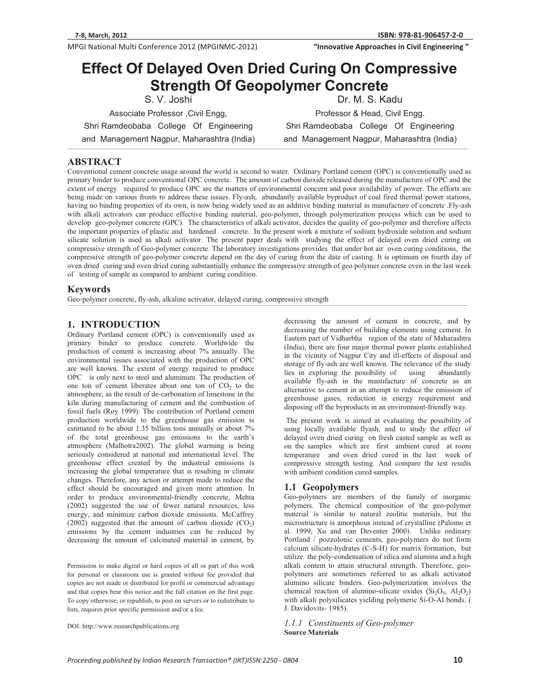**Whenevalue Approaches in Civil Engineering "InnovativeApproachesinCivilEngineering"**

# **Effect Of Delayed Oven Dried Curing On Compressive Strength Of Geopolymer Concrete**

S. V. Joshi Associate Professor ,Civil Engg,

Dr. M. S. Kadu Professor & Head, Civil Engg.

Shri Ramdeobaba College Of Engineering and Management Nagpur, Maharashtra (India)

Shri Ramdeobaba College Of Engineering and Management Nagpur, Maharashtra (India)

# **ABSTRACT**

Conventional cement concrete usage around the world is second to water. Ordinary Portland cement (OPC) is conventionally used as primary binder to produce conventional OPC concrete. The amount of carbon dioxide released during the manufacture of OPC and the extent of energy required to produce OPC are the matters of environmental concern and poor availability of power. The efforts are being made on various fronts to address these issues. Fly-ash, abundantly available byproduct of coal fired thermal power stations, having no binding properties of its own, is now being widely used as an additive binding material in manufacture of concrete .Fly-ash with alkali activators can produce effective binding material, geo-polymer, through polymerization process which can be used to develop geo-polymer concrete (GPC). The characteristics of alkali activator, decides the quality of geo-polymer and therefore affects the important properties of plastic and hardened concrete. In the present work a mixture of sodium hydroxide solution and sodium silicate solution is used as alkali activator. The present paper deals with studying the effect of delayed oven dried curing on compressive strength of Geo-polymer concrete. The laboratory investigations provides that under hot air oven curing conditions, the compressive strength of geo-polymer concrete depend on the day of curing from the date of casting. It is optimum on fourth day of oven dried curing and oven dried curing substantially enhance the compressive strength of geo polymer concrete even in the last week of testing of sample as compared to ambient curing condition.

## **Keywords**

Geo-polymer concrete, fly-ash, alkaline activator, delayed curing, compressive strength

# **1. INTRODUCTION**

Ordinary Portland cement (OPC) is conventionally used as primary binder to produce concrete. Worldwide the production of cement is increasing about 7% annually. The environmental issues associated with the production of OPC are well known. The extent of energy required to produce OPC is only next to steel and aluminum. The production of one ton of cement liberates about one ton of  $CO<sub>2</sub>$  to the atmosphere, as the result of de-carbonation of limestone in the kiln during manufacturing of cement and the combustion of fossil fuels (Roy 1999). The contribution of Portland cement production worldwide to the greenhouse gas emission is estimated to be about 1.35 billion tons annually or about 7% of the total greenhouse gas emissions to the earth's atmosphere (Malhotra2002). The global warming is being seriously considered at national and international level. The greenhouse effect created by the industrial emissions is increasing the global temperature that is resulting in climate changes. Therefore, any action or attempt made to reduce the effect should be encouraged and given more attention. In order to produce environmental-friendly concrete, Mehta (2002) suggested the use of fewer natural resources, less energy, and minimize carbon dioxide emissions. McCaffrey (2002) suggested that the amount of carbon dioxide  $(CO<sub>2</sub>)$ emissions by the cement industries can be reduced by decreasing the amount of calcinated material in cement, by

Permission to make digital or hard copies of all or part of this work for personal or classroom use is granted without fee provided that copies are not made or distributed for profit or commercial advantage and that copies bear this notice and the full citation on the first page. To copy otherwise, or republish, to post on servers or to redistribute to lists, requires prior specific permission and/or a fee.

DOI: http://www.researchpublications.org

decreasing the amount of cement in concrete, and by decreasing the number of building elements using cement. In Eastern part of Vidharbha region of the state of Maharashtra (India), there are four major thermal power plants established in the vicinity of Nagpur City and ill-effects of disposal and storage of fly-ash are well known. The relevance of the study<br>lies in exploring the possibility of using abundantly lies in exploring the possibility of using available fly-ash in the manufacture of concrete as an alternative to cement in an attempt to reduce the emission of greenhouse gases, reduction in energy requirement and disposing off the byproducts in an environment-friendly way.

 The present work is aimed at evaluating the possibility of using locally available flyash, and to study the effect of delayed oven dried curing on fresh casted sample as well as on the samples which are first ambient cured at room temperature and oven dried cured in the last week of compressive strength testing. And compare the test results with ambient condition cured samples.

# **1.1 Geopolymers**

Geo-polymers are members of the family of inorganic polymers. The chemical composition of the geo-polymer material is similar to natural zeolitic materials, but the microstructure is amorphous instead of crystalline (Palomo et al. 1999; Xu and van Deventer 2000). Unlike ordinary Portland / pozzolonic cements, geo-polymers do not form calcium silicate-hydrates (C-S-H) for matrix formation, but utilize the poly-condensation of silica and alumina and a high alkali content to attain structural strength. Therefore, geopolymers are sometimes referred to as alkali activated alumino silicate binders. Geo-polymerization involves the chemical reaction of alumino-silicate oxides  $(Si_2O_5, A1_2O_2)$ with alkali polysilicates yielding polymeric Si-O-Al bonds. ( J. Davidovits- 1985).

*1.1.1 Constituents of Geo-polymer*  **Source Materials**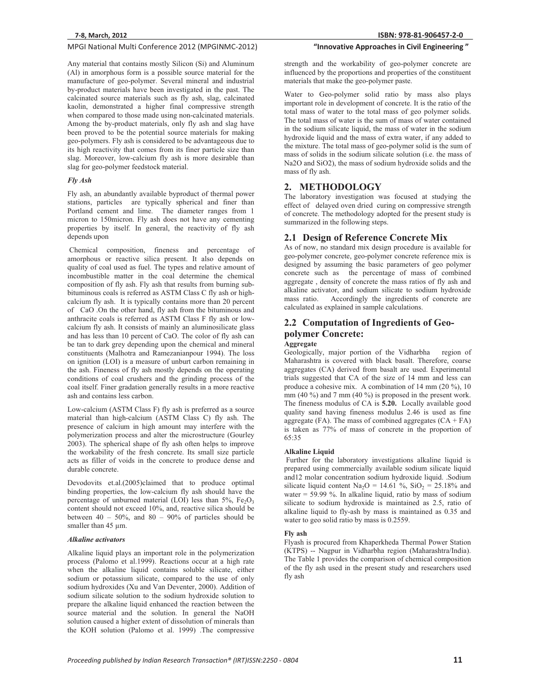Any material that contains mostly Silicon (Si) and Aluminum (Al) in amorphous form is a possible source material for the manufacture of geo-polymer. Several mineral and industrial by-product materials have been investigated in the past. The calcinated source materials such as fly ash, slag, calcinated kaolin, demonstrated a higher final compressive strength when compared to those made using non-calcinated materials. Among the by-product materials, only fly ash and slag have been proved to be the potential source materials for making geo-polymers. Fly ash is considered to be advantageous due to its high reactivity that comes from its finer particle size than slag. Moreover, low-calcium fly ash is more desirable than slag for geo-polymer feedstock material.

# *Fly Ash*

Fly ash, an abundantly available byproduct of thermal power stations, particles are typically spherical and finer than Portland cement and lime. The diameter ranges from 1 micron to 150micron. Fly ash does not have any cementing properties by itself. In general, the reactivity of fly ash depends upon

 Chemical composition, fineness and percentage of amorphous or reactive silica present. It also depends on quality of coal used as fuel. The types and relative amount of incombustible matter in the coal determine the chemical composition of fly ash. Fly ash that results from burning subbituminous coals is referred as ASTM Class C fly ash or highcalcium fly ash. It is typically contains more than 20 percent of CaO .On the other hand, fly ash from the bituminous and anthracite coals is referred as ASTM Class F fly ash or lowcalcium fly ash. It consists of mainly an aluminosilicate glass and has less than 10 percent of CaO. The color of fly ash can be tan to dark grey depending upon the chemical and mineral constituents (Malhotra and Ramezanianpour 1994). The loss on ignition (LOI) is a measure of unburt carbon remaining in the ash. Fineness of fly ash mostly depends on the operating conditions of coal crushers and the grinding process of the coal itself. Finer gradation generally results in a more reactive ash and contains less carbon.

Low-calcium (ASTM Class F) fly ash is preferred as a source material than high-calcium (ASTM Class C) fly ash. The presence of calcium in high amount may interfere with the polymerization process and alter the microstructure (Gourley 2003). The spherical shape of fly ash often helps to improve the workability of the fresh concrete. Its small size particle acts as filler of voids in the concrete to produce dense and durable concrete.

Devodovits et.al.(2005)claimed that to produce optimal binding properties, the low-calcium fly ash should have the percentage of unburned material (LOI) less than  $5\%$ , Fe<sub>2</sub>O<sub>3</sub> content should not exceed 10%, and, reactive silica should be between  $40 - 50\%$ , and  $80 - 90\%$  of particles should be smaller than 45 μm.

#### **Alkaline** activators

Alkaline liquid plays an important role in the polymerization process (Palomo et al.1999). Reactions occur at a high rate when the alkaline liquid contains soluble silicate, either sodium or potassium silicate, compared to the use of only sodium hydroxides (Xu and Van Deventer, 2000). Addition of sodium silicate solution to the sodium hydroxide solution to prepare the alkaline liquid enhanced the reaction between the source material and the solution. In general the NaOH solution caused a higher extent of dissolution of minerals than the KOH solution (Palomo et al. 1999) .The compressive

# **81-906457-2-0 "InnovativeApproachesinCivilEngineering"**

strength and the workability of geo-polymer concrete are influenced by the proportions and properties of the constituent materials that make the geo-polymer paste.

Water to Geo-polymer solid ratio by mass also plays important role in development of concrete. It is the ratio of the total mass of water to the total mass of geo polymer solids. The total mass of water is the sum of mass of water contained in the sodium silicate liquid, the mass of water in the sodium hydroxide liquid and the mass of extra water, if any added to the mixture. The total mass of geo-polymer solid is the sum of mass of solids in the sodium silicate solution (i.e. the mass of Na2O and SiO2), the mass of sodium hydroxide solids and the mass of fly ash.

## **2. METHODOLOGY**

The laboratory investigation was focused at studying the effect of delayed oven dried curing on compressive strength of concrete. The methodology adopted for the present study is summarized in the following steps.

## **2.1 Design of Reference Concrete Mix**

As of now, no standard mix design procedure is available for geo-polymer concrete, geo-polymer concrete reference mix is designed by assuming the basic parameters of geo polymer concrete such as the percentage of mass of combined aggregate , density of concrete the mass ratios of fly ash and alkaline activator, and sodium silicate to sodium hydroxide Accordingly the ingredients of concrete are calculated as explained in sample calculations.

# **2.2 Computation of Ingredients of Geopolymer Concrete: Aggregate**

Geologically, major portion of the Vidharbha region of Maharashtra is covered with black basalt. Therefore, coarse aggregates (CA) derived from basalt are used. Experimental trials suggested that CA of the size of 14 mm and less can produce a cohesive mix. A combination of 14 mm (20 %), 10 mm (40 %) and 7 mm (40 %) is proposed in the present work. The fineness modulus of CA is **5.20.** Locally available good quality sand having fineness modulus 2.46 is used as fine aggregate (FA). The mass of combined aggregates  $(CA + FA)$ is taken as 77% of mass of concrete in the proportion of 65:35

#### **Alkaline Liquid**

 Further for the laboratory investigations alkaline liquid is prepared using commercially available sodium silicate liquid and12 molar concentration sodium hydroxide liquid. .Sodium silicate liquid content  $Na<sub>2</sub>O = 14.61 %$ ,  $SiO<sub>2</sub> = 25.18%$  and water = 59.99 %. In alkaline liquid, ratio by mass of sodium silicate to sodium hydroxide is maintained as 2.5, ratio of alkaline liquid to fly-ash by mass is maintained as 0.35 and water to geo solid ratio by mass is 0.2559.

#### **Fly ash**

Flyash is procured from Khaperkheda Thermal Power Station (KTPS) -- Nagpur in Vidharbha region (Maharashtra/India). The Table 1 provides the comparison of chemical composition of the fly ash used in the present study and researchers used fly ash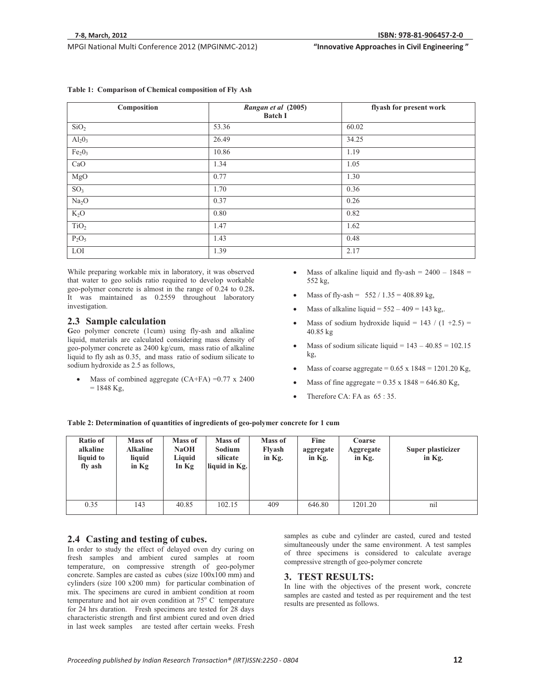**81-906457-2-0 "InnovativeApproachesinCivilEngineering"**

| Composition                    | Rangan et al (2005)<br><b>Batch I</b> | flyash for present work |
|--------------------------------|---------------------------------------|-------------------------|
| SiO <sub>2</sub>               | 53.36                                 | 60.02                   |
| $Al_2O_3$                      | 26.49                                 | 34.25                   |
| Fe <sub>2</sub> O <sub>3</sub> | 10.86                                 | 1.19                    |
| CaO                            | 1.34                                  | 1.05                    |
| MgO                            | 0.77                                  | 1.30                    |
| SO <sub>3</sub>                | 1.70                                  | 0.36                    |
| Na <sub>2</sub> O              | 0.37                                  | 0.26                    |
| $K_2O$                         | 0.80                                  | 0.82                    |
| TiO <sub>2</sub>               | 1.47                                  | 1.62                    |
| $P_2O_5$                       | 1.43                                  | 0.48                    |
| LOI                            | 1.39                                  | 2.17                    |

### **Table 1: Comparison of Chemical composition of Fly Ash**

While preparing workable mix in laboratory, it was observed that water to geo solids ratio required to develop workable geo-polymer concrete is almost in the range of 0.24 to 0.28**.** It was maintained as 0.2559 throughout laboratory investigation.

# **2.3 Sample calculation**

Geo polymer concrete (1cum) using fly-ash and alkaline liquid, materials are calculated considering mass density of geo-polymer concrete as 2400 kg/cum, mass ratio of alkaline liquid to fly ash as 0.35, and mass ratio of sodium silicate to sodium hydroxide as 2.5 as follows,

-Mass of combined aggregate  $(CA+FA) = 0.77 \times 2400$  $= 1848$  Kg,

- -Mass of alkaline liquid and fly-ash =  $2400 - 1848 =$ 552 kg,
- -Mass of fly-ash =  $552 / 1.35 = 408.89$  kg,
- -Mass of alkaline liquid =  $552 - 409 = 143$  kg,.
- -Mass of sodium hydroxide liquid =  $143 / (1 + 2.5)$  = 40.85 kg
- -Mass of sodium silicate liquid =  $143 - 40.85 = 102.15$ kg,
- -Mass of coarse aggregate =  $0.65 \times 1848 = 1201.20$  Kg,
- -Mass of fine aggregate =  $0.35 \times 1848 = 646.80$  Kg,
- -Therefore CA: FA as 65 : 35.

**Table 2: Determination of quantities of ingredients of geo-polymer concrete for 1 cum** 

| Ratio of<br>alkaline<br>liquid to<br>fly ash | Mass of<br><b>Alkaline</b><br>liquid<br>in $Kg$ | Mass of<br><b>NaOH</b><br>Liquid<br>In $Kg$ | Mass of<br>Sodium<br>silicate<br>liquid in Kg. | Mass of<br>Flyash<br>in $Kg$ . | Fine<br>aggregate<br>in Kg. | Coarse<br>Aggregate<br>in Kg. | Super plasticizer<br>in Kg. |
|----------------------------------------------|-------------------------------------------------|---------------------------------------------|------------------------------------------------|--------------------------------|-----------------------------|-------------------------------|-----------------------------|
| 0.35                                         | 143                                             | 40.85                                       | 102.15                                         | 409                            | 646.80                      | 1201.20                       | nil                         |

# **2.4 Casting and testing of cubes.**

In order to study the effect of delayed oven dry curing on fresh samples and ambient cured samples at room temperature, on compressive strength of geo-polymer concrete. Samples are casted as cubes (size 100x100 mm) and cylinders (size 100 x200 mm) for particular combination of mix. The specimens are cured in ambient condition at room temperature and hot air oven condition at  $75^{\circ}$  C temperature for 24 hrs duration. Fresh specimens are tested for 28 days characteristic strength and first ambient cured and oven dried in last week samples are tested after certain weeks. Fresh

samples as cube and cylinder are casted, cured and tested simultaneously under the same environment. A test samples of three specimens is considered to calculate average compressive strength of geo-polymer concrete

# **3. TEST RESULTS:**

In line with the objectives of the present work, concrete samples are casted and tested as per requirement and the test results are presented as follows.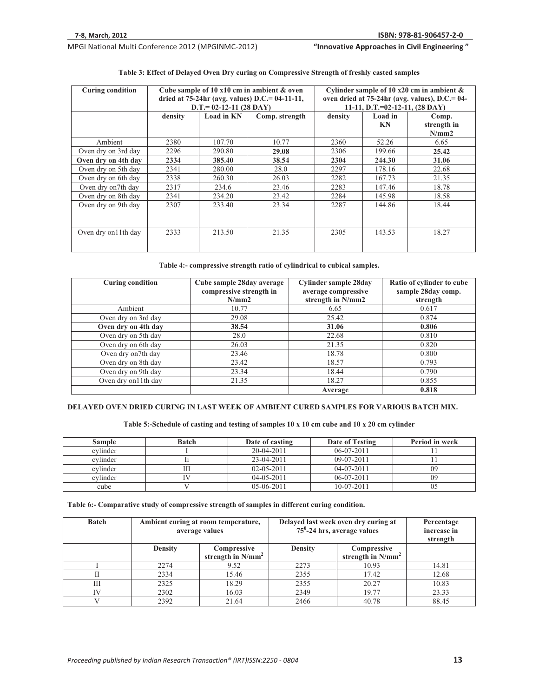**Whenevalue Approaches in Civil Engineering "InnovativeApproachesinCivilEngineering"**

| <b>Curing condition</b> | Cube sample of 10 $x10$ cm in ambient & oven<br>dried at $75-24$ hr (avg. values) D.C.= 04-11-11,<br>$D.T = 02-12-11 (28 DAY)$ |            |                | Cylinder sample of 10 $x20$ cm in ambient &<br>oven dried at $75-24$ hr (avg. values), D.C.= 04-<br>11-11, D.T.=02-12-11, $(28 \text{ DAY})$ |               |                               |
|-------------------------|--------------------------------------------------------------------------------------------------------------------------------|------------|----------------|----------------------------------------------------------------------------------------------------------------------------------------------|---------------|-------------------------------|
|                         | density                                                                                                                        | Load in KN | Comp. strength | density                                                                                                                                      | Load in<br>KN | Comp.<br>strength in<br>N/mm2 |
| Ambient                 | 2380                                                                                                                           | 107.70     | 10.77          | 2360                                                                                                                                         | 52.26         | 6.65                          |
| Oven dry on 3rd day     | 2296                                                                                                                           | 290.80     | 29.08          | 2306                                                                                                                                         | 199.66        | 25.42                         |
| Oven dry on 4th day     | 2334                                                                                                                           | 385.40     | 38.54          | 2304                                                                                                                                         | 244.30        | 31.06                         |
| Oven dry on 5th day     | 2341                                                                                                                           | 280.00     | 28.0           | 2297                                                                                                                                         | 178.16        | 22.68                         |
| Oven dry on 6th day     | 2338                                                                                                                           | 260.30     | 26.03          | 2282                                                                                                                                         | 167.73        | 21.35                         |
| Oven dry on7th day      | 2317                                                                                                                           | 234.6      | 23.46          | 2283                                                                                                                                         | 147.46        | 18.78                         |
| Oven dry on 8th day     | 2341                                                                                                                           | 234.20     | 23.42          | 2284                                                                                                                                         | 145.98        | 18.58                         |
| Oven dry on 9th day     | 2307                                                                                                                           | 233.40     | 23.34          | 2287                                                                                                                                         | 144.86        | 18.44                         |
| Oven dry on 11th day    | 2333                                                                                                                           | 213.50     | 21.35          | 2305                                                                                                                                         | 143.53        | 18.27                         |

# **Table 3: Effect of Delayed Oven Dry curing on Compressive Strength of freshly casted samples**

**Table 4:- compressive strength ratio of cylindrical to cubical samples.** 

| <b>Curing condition</b> | Cube sample 28day average<br>compressive strength in | Cylinder sample 28day<br>average compressive | Ratio of cylinder to cube<br>sample 28day comp. |  |
|-------------------------|------------------------------------------------------|----------------------------------------------|-------------------------------------------------|--|
|                         | N/mm2                                                | strength in N/mm2                            | strength                                        |  |
| Ambient                 | 10.77                                                | 6.65                                         | 0.617                                           |  |
| Oven dry on 3rd day     | 29.08                                                | 25.42                                        | 0.874                                           |  |
| Oven dry on 4th day     | 38.54                                                | 31.06                                        | 0.806                                           |  |
| Oven dry on 5th day     | 28.0                                                 | 22.68                                        | 0.810                                           |  |
| Oven dry on 6th day     | 26.03                                                | 21.35                                        | 0.820                                           |  |
| Oven dry on7th day      | 23.46                                                | 18.78                                        | 0.800                                           |  |
| Oven dry on 8th day     | 23.42                                                | 18.57                                        | 0.793                                           |  |
| Oven dry on 9th day     | 23.34                                                | 18.44                                        | 0.790                                           |  |
| Oven dry on 11th day    | 21.35                                                | 18.27                                        | 0.855                                           |  |
|                         |                                                      | Average                                      | 0.818                                           |  |

**DELAYED OVEN DRIED CURING IN LAST WEEK OF AMBIENT CURED SAMPLES FOR VARIOUS BATCH MIX.** 

**Table 5:-Schedule of casting and testing of samples 10 x 10 cm cube and 10 x 20 cm cylinder** 

| <b>Sample</b> | <b>Batch</b> | Date of casting  | Date of Testing  | Period in week |
|---------------|--------------|------------------|------------------|----------------|
| cvlinder      |              | $20-04-2011$     | $06-07-2011$     |                |
| cylinder      |              | 23-04-2011       | $09-07-2011$     |                |
| cylinder      |              | $02 - 05 - 2011$ | $04 - 07 - 2011$ | 09             |
| cvlinder      |              | $04 - 05 - 2011$ | $06-07-2011$     | 09             |
| cube          |              | $05-06-2011$     | $10-07-2011$     | UJ             |

**Table 6:- Comparative study of compressive strength of samples in different curing condition.** 

| <b>Batch</b> | Ambient curing at room temperature,<br>average values |                                     | Delayed last week oven dry curing at<br>$75^{\circ}$ -24 hrs, average values |                                     | Percentage<br>increase in<br>strength |
|--------------|-------------------------------------------------------|-------------------------------------|------------------------------------------------------------------------------|-------------------------------------|---------------------------------------|
|              | <b>Density</b>                                        | Compressive<br>strength in $N/mm^2$ | <b>Density</b>                                                               | Compressive<br>strength in $N/mm^2$ |                                       |
|              | 2274                                                  | 9.52                                | 2273                                                                         | 10.93                               | 14.81                                 |
| П            | 2334                                                  | 15.46                               | 2355                                                                         | 17.42                               | 12.68                                 |
| Ш            | 2325                                                  | 18.29                               | 2355                                                                         | 20.27                               | 10.83                                 |
| IV           | 2302                                                  | 16.03                               | 2349                                                                         | 19.77                               | 23.33                                 |
| V            | 2392                                                  | 21.64                               | 2466                                                                         | 40.78                               | 88.45                                 |